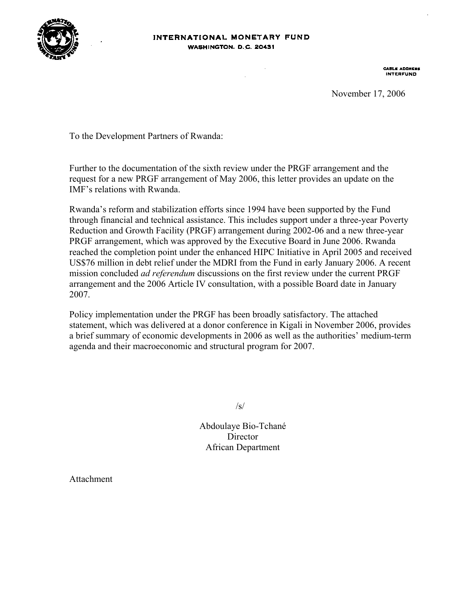

CABLE ADDRESS

November 17, 2006

To the Development Partners of Rwanda:

Further to the documentation of the sixth review under the PRGF arrangement and the request for a new PRGF arrangement of May 2006, this letter provides an update on the IMF's relations with Rwanda.

Rwanda's reform and stabilization efforts since 1994 have been supported by the Fund through financial and technical assistance. This includes support under a three-year Poverty Reduction and Growth Facility (PRGF) arrangement during 2002-06 and a new three-year PRGF arrangement, which was approved by the Executive Board in June 2006. Rwanda reached the completion point under the enhanced HIPC Initiative in April 2005 and received US\$76 million in debt relief under the MDRI from the Fund in early January 2006. A recent mission concluded *ad referendum* discussions on the first review under the current PRGF arrangement and the 2006 Article IV consultation, with a possible Board date in January 2007.

Policy implementation under the PRGF has been broadly satisfactory. The attached statement, which was delivered at a donor conference in Kigali in November 2006, provides a brief summary of economic developments in 2006 as well as the authorities' medium-term agenda and their macroeconomic and structural program for 2007.

 $\sqrt{s}$ /

Abdoulaye Bio-Tchané **Director** African Department

Attachment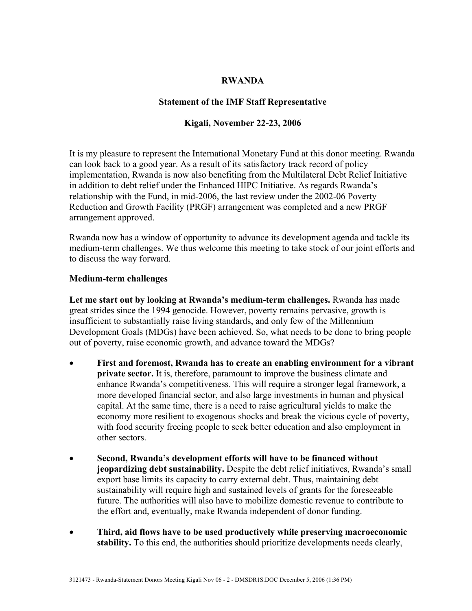### **RWANDA**

# **Statement of the IMF Staff Representative**

# **Kigali, November 22-23, 2006**

It is my pleasure to represent the International Monetary Fund at this donor meeting. Rwanda can look back to a good year. As a result of its satisfactory track record of policy implementation, Rwanda is now also benefiting from the Multilateral Debt Relief Initiative in addition to debt relief under the Enhanced HIPC Initiative. As regards Rwanda's relationship with the Fund, in mid-2006, the last review under the 2002-06 Poverty Reduction and Growth Facility (PRGF) arrangement was completed and a new PRGF arrangement approved.

Rwanda now has a window of opportunity to advance its development agenda and tackle its medium-term challenges. We thus welcome this meeting to take stock of our joint efforts and to discuss the way forward.

## **Medium-term challenges**

**Let me start out by looking at Rwanda's medium-term challenges.** Rwanda has made great strides since the 1994 genocide. However, poverty remains pervasive, growth is insufficient to substantially raise living standards, and only few of the Millennium Development Goals (MDGs) have been achieved. So, what needs to be done to bring people out of poverty, raise economic growth, and advance toward the MDGs?

- **First and foremost, Rwanda has to create an enabling environment for a vibrant private sector.** It is, therefore, paramount to improve the business climate and enhance Rwanda's competitiveness. This will require a stronger legal framework, a more developed financial sector, and also large investments in human and physical capital. At the same time, there is a need to raise agricultural yields to make the economy more resilient to exogenous shocks and break the vicious cycle of poverty, with food security freeing people to seek better education and also employment in other sectors.
- **Second, Rwanda's development efforts will have to be financed without jeopardizing debt sustainability.** Despite the debt relief initiatives, Rwanda's small export base limits its capacity to carry external debt. Thus, maintaining debt sustainability will require high and sustained levels of grants for the foreseeable future. The authorities will also have to mobilize domestic revenue to contribute to the effort and, eventually, make Rwanda independent of donor funding.
- **Third, aid flows have to be used productively while preserving macroeconomic stability.** To this end, the authorities should prioritize developments needs clearly,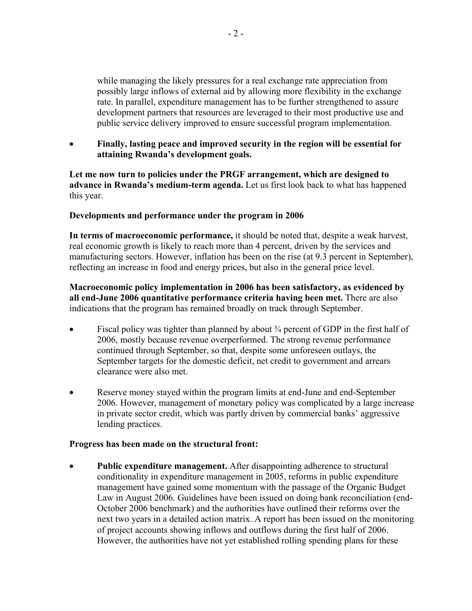while managing the likely pressures for a real exchange rate appreciation from possibly large inflows of external aid by allowing more flexibility in the exchange rate. In parallel, expenditure management has to be further strengthened to assure development partners that resources are leveraged to their most productive use and public service delivery improved to ensure successful program implementation.

• **Finally, lasting peace and improved security in the region will be essential for attaining Rwanda's development goals.**

**Let me now turn to policies under the PRGF arrangement, which are designed to advance in Rwanda's medium-term agenda.** Let us first look back to what has happened this year.

## **Developments and performance under the program in 2006**

**In terms of macroeconomic performance,** it should be noted that, despite a weak harvest, real economic growth is likely to reach more than 4 percent, driven by the services and manufacturing sectors. However, inflation has been on the rise (at 9.3 percent in September), reflecting an increase in food and energy prices, but also in the general price level.

**Macroeconomic policy implementation in 2006 has been satisfactory, as evidenced by all end-June 2006 quantitative performance criteria having been met.** There are also indications that the program has remained broadly on track through September.

- Fiscal policy was tighter than planned by about  $\frac{3}{4}$  percent of GDP in the first half of 2006, mostly because revenue overperformed. The strong revenue performance continued through September, so that, despite some unforeseen outlays, the September targets for the domestic deficit, net credit to government and arrears clearance were also met.
- Reserve money stayed within the program limits at end-June and end-September 2006. However, management of monetary policy was complicated by a large increase in private sector credit, which was partly driven by commercial banks' aggressive lending practices.

## **Progress has been made on the structural front:**

• **Public expenditure management.** After disappointing adherence to structural conditionality in expenditure management in 2005, reforms in public expenditure management have gained some momentum with the passage of the Organic Budget Law in August 2006. Guidelines have been issued on doing bank reconciliation (end-October 2006 benchmark) and the authorities have outlined their reforms over the next two years in a detailed action matrix. A report has been issued on the monitoring of project accounts showing inflows and outflows during the first half of 2006. However, the authorities have not yet established rolling spending plans for these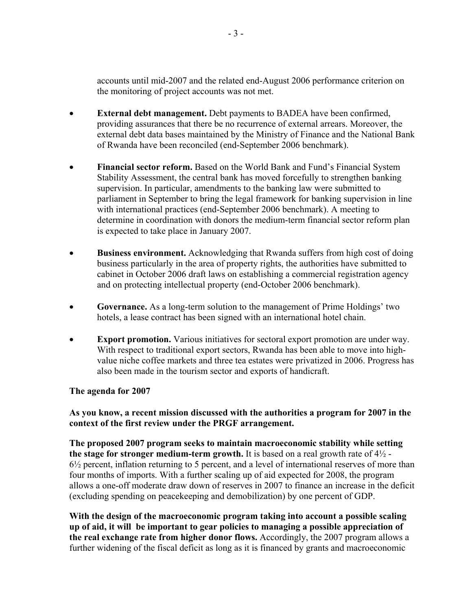accounts until mid-2007 and the related end-August 2006 performance criterion on the monitoring of project accounts was not met.

- **External debt management.** Debt payments to BADEA have been confirmed, providing assurances that there be no recurrence of external arrears. Moreover, the external debt data bases maintained by the Ministry of Finance and the National Bank of Rwanda have been reconciled (end-September 2006 benchmark).
- **Financial sector reform.** Based on the World Bank and Fund's Financial System Stability Assessment, the central bank has moved forcefully to strengthen banking supervision. In particular, amendments to the banking law were submitted to parliament in September to bring the legal framework for banking supervision in line with international practices (end-September 2006 benchmark). A meeting to determine in coordination with donors the medium-term financial sector reform plan is expected to take place in January 2007.
- **Business environment.** Acknowledging that Rwanda suffers from high cost of doing business particularly in the area of property rights, the authorities have submitted to cabinet in October 2006 draft laws on establishing a commercial registration agency and on protecting intellectual property (end-October 2006 benchmark).
- **Governance.** As a long-term solution to the management of Prime Holdings' two hotels, a lease contract has been signed with an international hotel chain.
- **Export promotion.** Various initiatives for sectoral export promotion are under way. With respect to traditional export sectors, Rwanda has been able to move into highvalue niche coffee markets and three tea estates were privatized in 2006. Progress has also been made in the tourism sector and exports of handicraft.

## **The agenda for 2007**

**As you know, a recent mission discussed with the authorities a program for 2007 in the context of the first review under the PRGF arrangement.**

**The proposed 2007 program seeks to maintain macroeconomic stability while setting the stage for stronger medium-term growth.** It is based on a real growth rate of  $4\frac{1}{2}$  -6½ percent, inflation returning to 5 percent, and a level of international reserves of more than four months of imports. With a further scaling up of aid expected for 2008, the program allows a one-off moderate draw down of reserves in 2007 to finance an increase in the deficit (excluding spending on peacekeeping and demobilization) by one percent of GDP.

**With the design of the macroeconomic program taking into account a possible scaling up of aid, it will be important to gear policies to managing a possible appreciation of the real exchange rate from higher donor flows.** Accordingly, the 2007 program allows a further widening of the fiscal deficit as long as it is financed by grants and macroeconomic